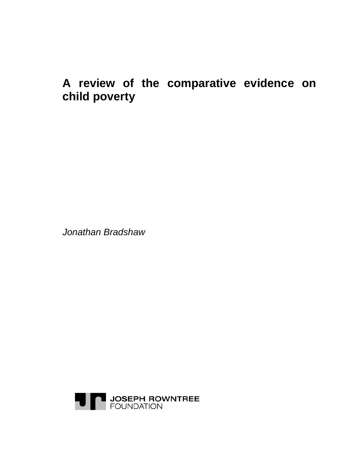# **A review of the comparative evidence on child poverty**

*Jonathan Bradshaw* 

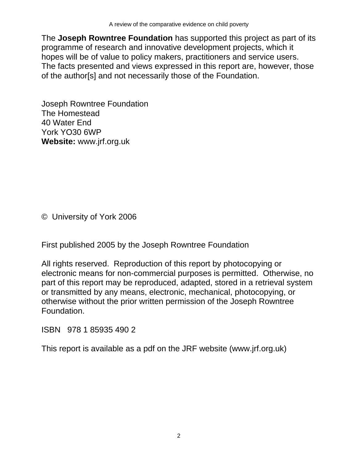The **Joseph Rowntree Foundation** has supported this project as part of its programme of research and innovative development projects, which it hopes will be of value to policy makers, practitioners and service users. The facts presented and views expressed in this report are, however, those of the author[s] and not necessarily those of the Foundation.

Joseph Rowntree Foundation The Homestead 40 Water End York YO30 6WP **Website:** www.jrf.org.uk

© University of York 2006

First published 2005 by the Joseph Rowntree Foundation

All rights reserved. Reproduction of this report by photocopying or electronic means for non-commercial purposes is permitted. Otherwise, no part of this report may be reproduced, adapted, stored in a retrieval system or transmitted by any means, electronic, mechanical, photocopying, or otherwise without the prior written permission of the Joseph Rowntree Foundation.

ISBN 978 1 85935 490 2

This report is available as a pdf on the JRF website (www.jrf.org.uk)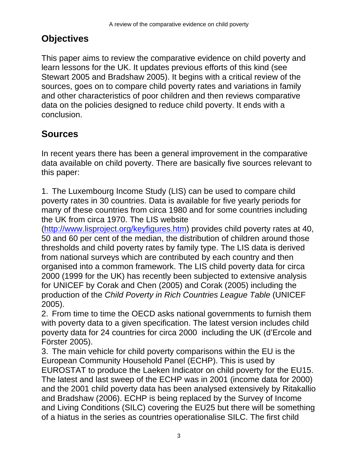## **Objectives**

This paper aims to review the comparative evidence on child poverty and learn lessons for the UK. It updates previous efforts of this kind (see Stewart 2005 and Bradshaw 2005). It begins with a critical review of the sources, goes on to compare child poverty rates and variations in family and other characteristics of poor children and then reviews comparative data on the policies designed to reduce child poverty. It ends with a conclusion.

## **Sources**

In recent years there has been a general improvement in the comparative data available on child poverty. There are basically five sources relevant to this paper:

1. The Luxembourg Income Study (LIS) can be used to compare child poverty rates in 30 countries. Data is available for five yearly periods for many of these countries from circa 1980 and for some countries including the UK from circa 1970. The LIS website

(http://www.lisproject.org/keyfigures.htm) provides child poverty rates at 40, 50 and 60 per cent of the median, the distribution of children around those thresholds and child poverty rates by family type. The LIS data is derived from national surveys which are contributed by each country and then organised into a common framework. The LIS child poverty data for circa 2000 (1999 for the UK) has recently been subjected to extensive analysis for UNICEF by Corak and Chen (2005) and Corak (2005) including the production of the *Child Poverty in Rich Countries League Table* (UNICEF 2005).

2. From time to time the OECD asks national governments to furnish them with poverty data to a given specification. The latest version includes child poverty data for 24 countries for circa 2000 including the UK (d'Ercole and Förster 2005).

3. The main vehicle for child poverty comparisons within the EU is the European Community Household Panel (ECHP). This is used by EUROSTAT to produce the Laeken Indicator on child poverty for the EU15. The latest and last sweep of the ECHP was in 2001 (income data for 2000) and the 2001 child poverty data has been analysed extensively by Ritakallio and Bradshaw (2006). ECHP is being replaced by the Survey of Income and Living Conditions (SILC) covering the EU25 but there will be something of a hiatus in the series as countries operationalise SILC. The first child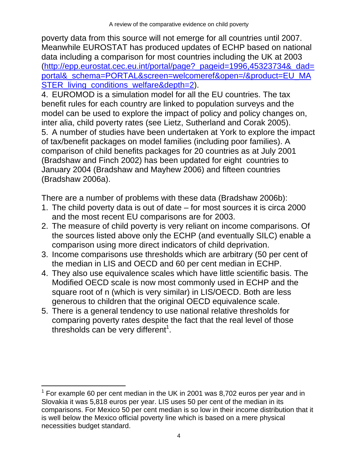poverty data from this source will not emerge for all countries until 2007. Meanwhile EUROSTAT has produced updates of ECHP based on national data including a comparison for most countries including the UK at 2003 (http://epp.eurostat.cec.eu.int/portal/page?\_pageid=1996,45323734&\_dad= portal&\_schema=PORTAL&screen=welcomeref&open=/&product=EU\_MA STER\_living\_conditions\_welfare&depth=2).

4. EUROMOD is a simulation model for all the EU countries. The tax benefit rules for each country are linked to population surveys and the model can be used to explore the impact of policy and policy changes on, inter alia, child poverty rates (see Lietz, Sutherland and Corak 2005). 5. A number of studies have been undertaken at York to explore the impact of tax/benefit packages on model families (including poor families). A comparison of child benefits packages for 20 countries as at July 2001 (Bradshaw and Finch 2002) has been updated for eight countries to January 2004 (Bradshaw and Mayhew 2006) and fifteen countries (Bradshaw 2006a).

There are a number of problems with these data (Bradshaw 2006b):

- 1. The child poverty data is out of date for most sources it is circa 2000 and the most recent EU comparisons are for 2003.
- 2. The measure of child poverty is very reliant on income comparisons. Of the sources listed above only the ECHP (and eventually SILC) enable a comparison using more direct indicators of child deprivation.
- 3. Income comparisons use thresholds which are arbitrary (50 per cent of the median in LIS and OECD and 60 per cent median in ECHP.
- 4. They also use equivalence scales which have little scientific basis. The Modified OECD scale is now most commonly used in ECHP and the square root of n (which is very similar) in LIS/OECD. Both are less generous to children that the original OECD equivalence scale.
- 5. There is a general tendency to use national relative thresholds for comparing poverty rates despite the fact that the real level of those thresholds can be very different<sup>1</sup>.

l  $1$  For example 60 per cent median in the UK in 2001 was 8,702 euros per year and in Slovakia it was 5,818 euros per year. LIS uses 50 per cent of the median in its comparisons. For Mexico 50 per cent median is so low in their income distribution that it is well below the Mexico official poverty line which is based on a mere physical necessities budget standard.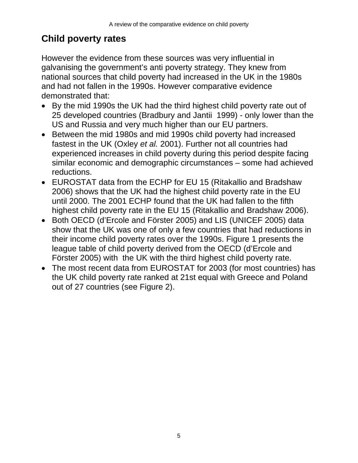# **Child poverty rates**

However the evidence from these sources was very influential in galvanising the government's anti poverty strategy. They knew from national sources that child poverty had increased in the UK in the 1980s and had not fallen in the 1990s. However comparative evidence demonstrated that:

- By the mid 1990s the UK had the third highest child poverty rate out of 25 developed countries (Bradbury and Jantii 1999) - only lower than the US and Russia and very much higher than our EU partners.
- Between the mid 1980s and mid 1990s child poverty had increased fastest in the UK (Oxley *et al.* 2001). Further not all countries had experienced increases in child poverty during this period despite facing similar economic and demographic circumstances – some had achieved reductions.
- EUROSTAT data from the ECHP for EU 15 (Ritakallio and Bradshaw 2006) shows that the UK had the highest child poverty rate in the EU until 2000. The 2001 ECHP found that the UK had fallen to the fifth highest child poverty rate in the EU 15 (Ritakallio and Bradshaw 2006).
- Both OECD (d'Ercole and Förster 2005) and LIS (UNICEF 2005) data show that the UK was one of only a few countries that had reductions in their income child poverty rates over the 1990s. Figure 1 presents the league table of child poverty derived from the OECD (d'Ercole and Förster 2005) with the UK with the third highest child poverty rate.
- The most recent data from EUROSTAT for 2003 (for most countries) has the UK child poverty rate ranked at 21st equal with Greece and Poland out of 27 countries (see Figure 2).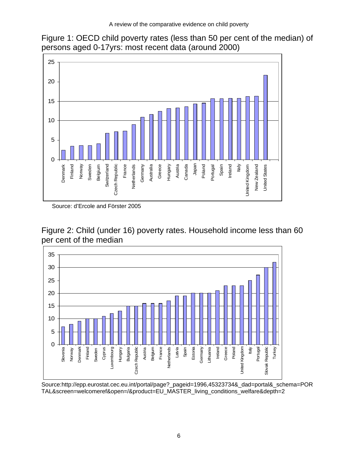



Source: d'Ercole and Förster 2005





Source:http://epp.eurostat.cec.eu.int/portal/page?\_pageid=1996,45323734&\_dad=portal&\_schema=POR TAL&screen=welcomeref&open=/&product=EU\_MASTER\_living\_conditions\_welfare&depth=2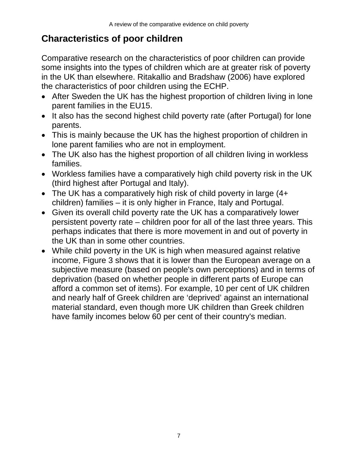## **Characteristics of poor children**

Comparative research on the characteristics of poor children can provide some insights into the types of children which are at greater risk of poverty in the UK than elsewhere. Ritakallio and Bradshaw (2006) have explored the characteristics of poor children using the ECHP.

- After Sweden the UK has the highest proportion of children living in lone parent families in the EU15.
- It also has the second highest child poverty rate (after Portugal) for lone parents.
- This is mainly because the UK has the highest proportion of children in lone parent families who are not in employment.
- The UK also has the highest proportion of all children living in workless families.
- Workless families have a comparatively high child poverty risk in the UK (third highest after Portugal and Italy).
- The UK has a comparatively high risk of child poverty in large (4+ children) families – it is only higher in France, Italy and Portugal.
- Given its overall child poverty rate the UK has a comparatively lower persistent poverty rate – children poor for all of the last three years. This perhaps indicates that there is more movement in and out of poverty in the UK than in some other countries.
- While child poverty in the UK is high when measured against relative income, Figure 3 shows that it is lower than the European average on a subjective measure (based on people's own perceptions) and in terms of deprivation (based on whether people in different parts of Europe can afford a common set of items). For example, 10 per cent of UK children and nearly half of Greek children are 'deprived' against an international material standard, even though more UK children than Greek children have family incomes below 60 per cent of their country's median.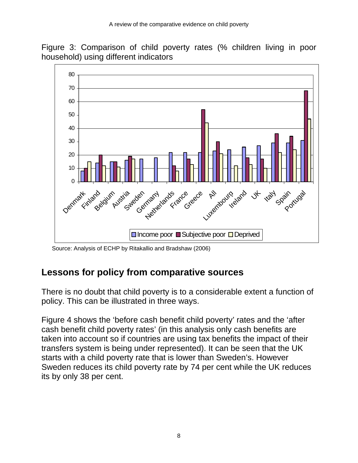



Source: Analysis of ECHP by Ritakallio and Bradshaw (2006)

#### **Lessons for policy from comparative sources**

There is no doubt that child poverty is to a considerable extent a function of policy. This can be illustrated in three ways.

Figure 4 shows the 'before cash benefit child poverty' rates and the 'after cash benefit child poverty rates' (in this analysis only cash benefits are taken into account so if countries are using tax benefits the impact of their transfers system is being under represented). It can be seen that the UK starts with a child poverty rate that is lower than Sweden's. However Sweden reduces its child poverty rate by 74 per cent while the UK reduces its by only 38 per cent.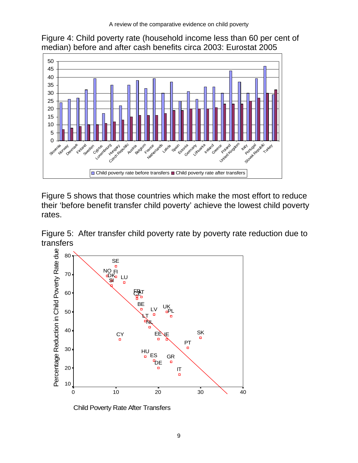



Figure 5 shows that those countries which make the most effort to reduce their 'before benefit transfer child poverty' achieve the lowest child poverty rates.

Figure 5: After transfer child poverty rate by poverty rate reduction due to transfers



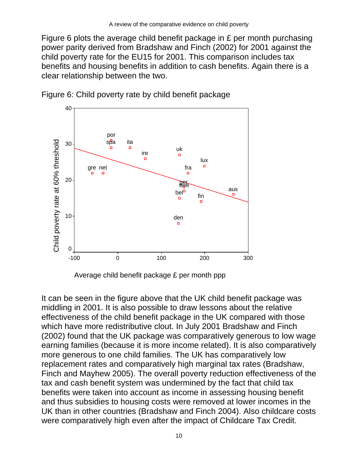Figure 6 plots the average child benefit package in £ per month purchasing power parity derived from Bradshaw and Finch (2002) for 2001 against the child poverty rate for the EU15 for 2001. This comparison includes tax benefits and housing benefits in addition to cash benefits. Again there is a clear relationship between the two.



Figure 6: Child poverty rate by child benefit package



It can be seen in the figure above that the UK child benefit package was middling in 2001. It is also possible to draw lessons about the relative effectiveness of the child benefit package in the UK compared with those which have more redistributive clout. In July 2001 Bradshaw and Finch (2002) found that the UK package was comparatively generous to low wage earning families (because it is more income related). It is also comparatively more generous to one child families. The UK has comparatively low replacement rates and comparatively high marginal tax rates (Bradshaw, Finch and Mayhew 2005). The overall poverty reduction effectiveness of the tax and cash benefit system was undermined by the fact that child tax benefits were taken into account as income in assessing housing benefit and thus subsidies to housing costs were removed at lower incomes in the UK than in other countries (Bradshaw and Finch 2004). Also childcare costs were comparatively high even after the impact of Childcare Tax Credit.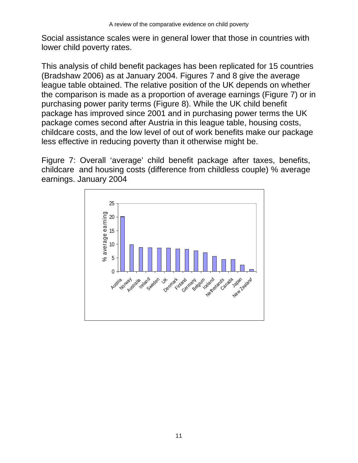Social assistance scales were in general lower that those in countries with lower child poverty rates.

This analysis of child benefit packages has been replicated for 15 countries (Bradshaw 2006) as at January 2004. Figures 7 and 8 give the average league table obtained. The relative position of the UK depends on whether the comparison is made as a proportion of average earnings (Figure 7) or in purchasing power parity terms (Figure 8). While the UK child benefit package has improved since 2001 and in purchasing power terms the UK package comes second after Austria in this league table, housing costs, childcare costs, and the low level of out of work benefits make our package less effective in reducing poverty than it otherwise might be.

Figure 7: Overall 'average' child benefit package after taxes, benefits, childcare and housing costs (difference from childless couple) % average earnings. January 2004

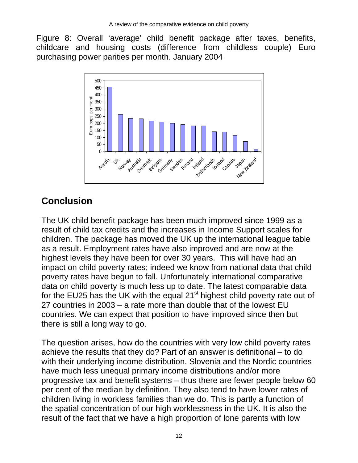Figure 8: Overall 'average' child benefit package after taxes, benefits, childcare and housing costs (difference from childless couple) Euro purchasing power parities per month. January 2004



# **Conclusion**

The UK child benefit package has been much improved since 1999 as a result of child tax credits and the increases in Income Support scales for children. The package has moved the UK up the international league table as a result. Employment rates have also improved and are now at the highest levels they have been for over 30 years. This will have had an impact on child poverty rates; indeed we know from national data that child poverty rates have begun to fall. Unfortunately international comparative data on child poverty is much less up to date. The latest comparable data for the EU25 has the UK with the equal 21<sup>st</sup> highest child poverty rate out of 27 countries in 2003 – a rate more than double that of the lowest EU countries. We can expect that position to have improved since then but there is still a long way to go.

The question arises, how do the countries with very low child poverty rates achieve the results that they do? Part of an answer is definitional – to do with their underlying income distribution. Slovenia and the Nordic countries have much less unequal primary income distributions and/or more progressive tax and benefit systems – thus there are fewer people below 60 per cent of the median by definition. They also tend to have lower rates of children living in workless families than we do. This is partly a function of the spatial concentration of our high worklessness in the UK. It is also the result of the fact that we have a high proportion of lone parents with low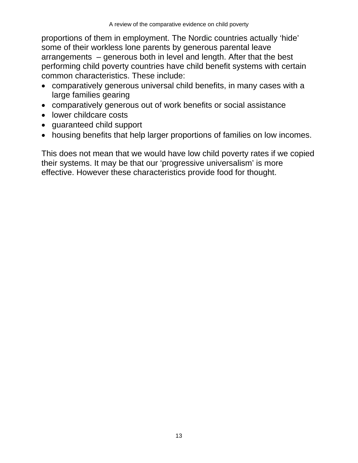proportions of them in employment. The Nordic countries actually 'hide' some of their workless lone parents by generous parental leave arrangements – generous both in level and length. After that the best performing child poverty countries have child benefit systems with certain common characteristics. These include:

- comparatively generous universal child benefits, in many cases with a large families gearing
- comparatively generous out of work benefits or social assistance
- lower childcare costs
- guaranteed child support
- housing benefits that help larger proportions of families on low incomes.

This does not mean that we would have low child poverty rates if we copied their systems. It may be that our 'progressive universalism' is more effective. However these characteristics provide food for thought.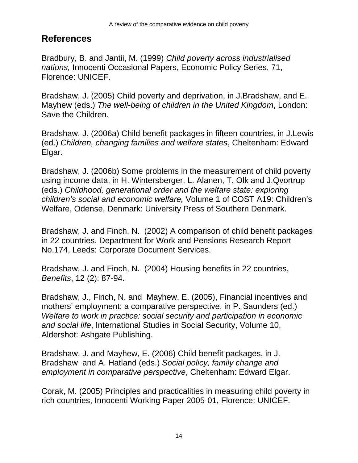#### **References**

Bradbury, B. and Jantii, M. (1999) *Child poverty across industrialised nations,* Innocenti Occasional Papers, Economic Policy Series, 71, Florence: UNICEF.

Bradshaw, J. (2005) Child poverty and deprivation, in J.Bradshaw, and E. Mayhew (eds.) *The well-being of children in the United Kingdom*, London: Save the Children.

Bradshaw, J. (2006a) Child benefit packages in fifteen countries, in J.Lewis (ed.) *Children, changing families and welfare states*, Cheltenham: Edward Elgar.

Bradshaw, J. (2006b) Some problems in the measurement of child poverty using income data, in H. Wintersberger, L. Alanen, T. Olk and J.Qvortrup (eds.) *Childhood, generational order and the welfare state: exploring children's social and economic welfare,* Volume 1 of COST A19: Children's Welfare, Odense, Denmark: University Press of Southern Denmark.

Bradshaw, J. and Finch, N. (2002) A comparison of child benefit packages in 22 countries, Department for Work and Pensions Research Report No.174, Leeds: Corporate Document Services.

Bradshaw, J. and Finch, N. (2004) Housing benefits in 22 countries, *Benefits*, 12 (2): 87-94.

Bradshaw, J., Finch, N. and Mayhew, E. (2005), Financial incentives and mothers' employment: a comparative perspective, in P. Saunders (ed.) *Welfare to work in practice: social security and participation in economic and social life*, International Studies in Social Security, Volume 10, Aldershot: Ashgate Publishing.

Bradshaw, J. and Mayhew, E. (2006) Child benefit packages, in J. Bradshaw and A. Hatland (eds.) *Social policy, family change and employment in comparative perspective*, Cheltenham: Edward Elgar.

Corak, M. (2005) Principles and practicalities in measuring child poverty in rich countries, Innocenti Working Paper 2005-01, Florence: UNICEF.